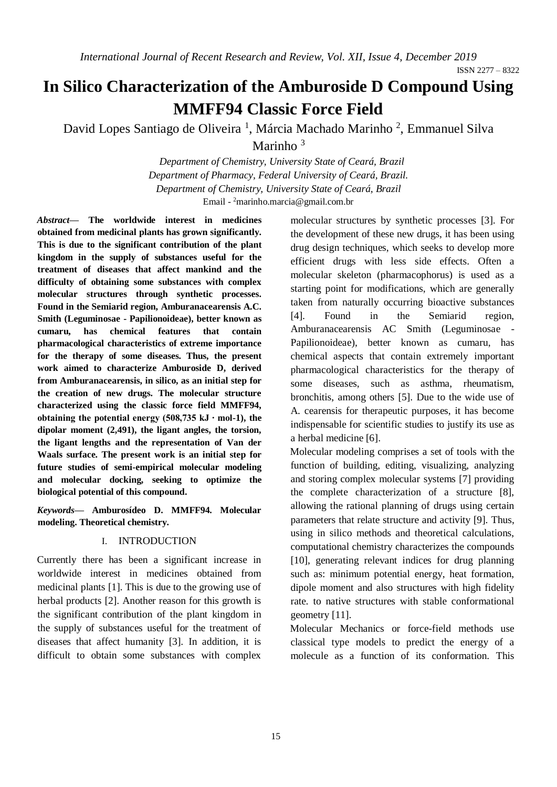# **In Silico Characterization of the Amburoside D Compound Using MMFF94 Classic Force Field**

David Lopes Santiago de Oliveira<sup>1</sup>, Márcia Machado Marinho<sup>2</sup>, Emmanuel Silva Marinho<sup>3</sup>

> *Department of Chemistry, University State of Ceará, Brazil Department of Pharmacy, Federal University of Ceará, Brazil. Department of Chemistry, University State of Ceará, Brazil* Email - <sup>2</sup>marinho.marcia@gmail.com.br

*Abstract***— The worldwide interest in medicines obtained from medicinal plants has grown significantly. This is due to the significant contribution of the plant kingdom in the supply of substances useful for the treatment of diseases that affect mankind and the difficulty of obtaining some substances with complex molecular structures through synthetic processes. Found in the Semiarid region, Amburanacearensis A.C. Smith (Leguminosae - Papilionoideae), better known as cumaru, has chemical features that contain pharmacological characteristics of extreme importance for the therapy of some diseases. Thus, the present work aimed to characterize Amburoside D, derived from Amburanacearensis, in silico, as an initial step for the creation of new drugs. The molecular structure characterized using the classic force field MMFF94, obtaining the potential energy (508,735 kJ ∙ mol-1), the dipolar moment (2,491), the ligant angles, the torsion, the ligant lengths and the representation of Van der Waals surface. The present work is an initial step for future studies of semi-empirical molecular modeling and molecular docking, seeking to optimize the biological potential of this compound.** 

*Keywords***— Amburosídeo D. MMFF94. Molecular modeling. Theoretical chemistry.** 

## I. INTRODUCTION

Currently there has been a significant increase in worldwide interest in medicines obtained from medicinal plants [1]. This is due to the growing use of herbal products [2]. Another reason for this growth is the significant contribution of the plant kingdom in the supply of substances useful for the treatment of diseases that affect humanity [3]. In addition, it is difficult to obtain some substances with complex

molecular structures by synthetic processes [3]. For the development of these new drugs, it has been using drug design techniques, which seeks to develop more efficient drugs with less side effects. Often a molecular skeleton (pharmacophorus) is used as a starting point for modifications, which are generally taken from naturally occurring bioactive substances [4]. Found in the Semiarid region, Amburanacearensis AC Smith (Leguminosae - Papilionoideae), better known as cumaru, has chemical aspects that contain extremely important pharmacological characteristics for the therapy of some diseases, such as asthma, rheumatism, bronchitis, among others [5]. Due to the wide use of A. cearensis for therapeutic purposes, it has become indispensable for scientific studies to justify its use as a herbal medicine [6].

Molecular modeling comprises a set of tools with the function of building, editing, visualizing, analyzing and storing complex molecular systems [7] providing the complete characterization of a structure [8], allowing the rational planning of drugs using certain parameters that relate structure and activity [9]. Thus, using in silico methods and theoretical calculations, computational chemistry characterizes the compounds [10], generating relevant indices for drug planning such as: minimum potential energy, heat formation, dipole moment and also structures with high fidelity rate. to native structures with stable conformational geometry [11].

Molecular Mechanics or force-field methods use classical type models to predict the energy of a molecule as a function of its conformation. This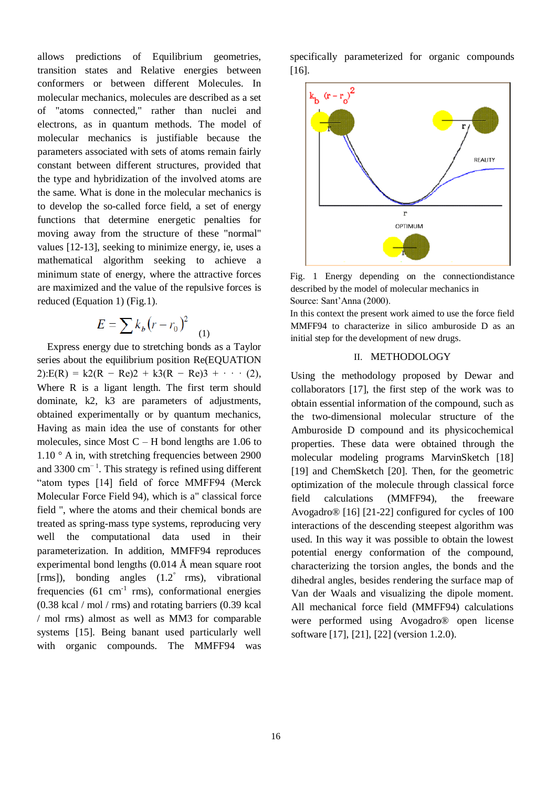allows predictions of Equilibrium geometries, transition states and Relative energies between conformers or between different Molecules. In molecular mechanics, molecules are described as a set of "atoms connected," rather than nuclei and electrons, as in quantum methods. The model of molecular mechanics is justifiable because the parameters associated with sets of atoms remain fairly constant between different structures, provided that the type and hybridization of the involved atoms are the same. What is done in the molecular mechanics is to develop the so-called force field, a set of energy functions that determine energetic penalties for moving away from the structure of these "normal" values [12-13], seeking to minimize energy, ie, uses a mathematical algorithm seeking to achieve a minimum state of energy, where the attractive forces are maximized and the value of the repulsive forces is reduced (Equation 1) (Fig.1).

$$
E = \sum k_b (r - r_0)^2 \quad (1)
$$

Express energy due to stretching bonds as a Taylor series about the equilibrium position Re(EQUATION  $2$ ):E(R) = k2(R – Re)2 + k3(R – Re)3 + · · · (2), Where R is a ligant length. The first term should dominate, k2, k3 are parameters of adjustments, obtained experimentally or by quantum mechanics, Having as main idea the use of constants for other molecules, since Most  $C - H$  bond lengths are 1.06 to  $1.10$  ° A in, with stretching frequencies between 2900 and 3300  $cm^{-1}$ . This strategy is refined using different "atom types [14] field of force MMFF94 (Merck Molecular Force Field 94), which is a" classical force field ", where the atoms and their chemical bonds are treated as spring-mass type systems, reproducing very well the computational data used in their parameterization. In addition, MMFF94 reproduces experimental bond lengths (0.014 Å mean square root [rms]), bonding angles (1.2° rms), vibrational frequencies  $(61 \text{ cm}^{-1} \text{ rms})$ , conformational energies (0.38 kcal / mol / rms) and rotating barriers (0.39 kcal / mol rms) almost as well as MM3 for comparable systems [15]. Being banant used particularly well with organic compounds. The MMFF94 was

specifically parameterized for organic compounds [16].



Fig. 1 Energy depending on the connectiondistance described by the model of molecular mechanics in Source: Sant'Anna (2000).

In this context the present work aimed to use the force field MMFF94 to characterize in silico amburoside D as an initial step for the development of new drugs.

## II. METHODOLOGY

Using the methodology proposed by Dewar and collaborators [17], the first step of the work was to obtain essential information of the compound, such as the two-dimensional molecular structure of the Amburoside D compound and its physicochemical properties. These data were obtained through the molecular modeling programs MarvinSketch [18] [19] and ChemSketch [20]. Then, for the geometric optimization of the molecule through classical force field calculations (MMFF94), the freeware Avogadro® [16] [21-22] configured for cycles of 100 interactions of the descending steepest algorithm was used. In this way it was possible to obtain the lowest potential energy conformation of the compound, characterizing the torsion angles, the bonds and the dihedral angles, besides rendering the surface map of Van der Waals and visualizing the dipole moment. All mechanical force field (MMFF94) calculations were performed using Avogadro® open license software [17], [21], [22] (version 1.2.0).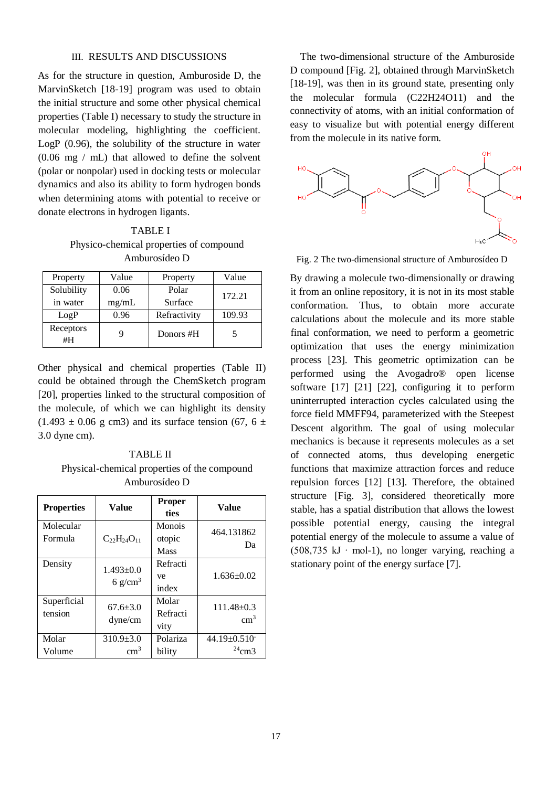### III. RESULTS AND DISCUSSIONS

As for the structure in question, Amburoside D, the MarvinSketch [18-19] program was used to obtain the initial structure and some other physical chemical properties (Table I) necessary to study the structure in molecular modeling, highlighting the coefficient. LogP (0.96), the solubility of the structure in water (0.06 mg / mL) that allowed to define the solvent (polar or nonpolar) used in docking tests or molecular dynamics and also its ability to form hydrogen bonds when determining atoms with potential to receive or donate electrons in hydrogen ligants.

TABLE I Physico-chemical properties of compound Amburosídeo D

| Property               | Value         | Property         | Value  |
|------------------------|---------------|------------------|--------|
| Solubility<br>in water | 0.06<br>mg/mL | Polar<br>Surface | 172.21 |
| LogP                   | 0.96          | Refractivity     | 109.93 |
| Receptors<br>#H        |               | Donors #H        |        |

Other physical and chemical properties (Table II) could be obtained through the ChemSketch program [20], properties linked to the structural composition of the molecule, of which we can highlight its density  $(1.493 \pm 0.06$  g cm3) and its surface tension (67, 6  $\pm$ 3.0 dyne cm).

TABLE II Physical-chemical properties of the compound Amburosídeo D

| <b>Properties</b>      | <b>Value</b>                 | <b>Proper</b><br>ties     | Value                            |
|------------------------|------------------------------|---------------------------|----------------------------------|
| Molecular<br>Formula   | $C_{22}H_{24}O_{11}$         | Monois<br>otopic<br>Mass  | 464.131862<br>Da                 |
| Density                | $1.493 \pm 0.0$<br>6 $g/cm3$ | Refracti<br>ve<br>index   | $1.636 \pm 0.02$                 |
| Superficial<br>tension | $67.6 \pm 3.0$<br>$d$ yne/cm | Molar<br>Refracti<br>vity | $111.48 \pm 0.3$<br>$\rm cm^3$   |
| Molar<br>Volume        | $310.9 + 3.0$<br>$\rm cm^3$  | Polariza<br>bility        | $44.19 \pm 0.510$<br>$^{24}$ cm3 |

The two-dimensional structure of the Amburoside D compound [Fig. 2], obtained through MarvinSketch [18-19], was then in its ground state, presenting only the molecular formula (C22H24O11) and the connectivity of atoms, with an initial conformation of easy to visualize but with potential energy different from the molecule in its native form.



Fig. 2 The two-dimensional structure of Amburosídeo D

By drawing a molecule two-dimensionally or drawing it from an online repository, it is not in its most stable conformation. Thus, to obtain more accurate calculations about the molecule and its more stable final conformation, we need to perform a geometric optimization that uses the energy minimization process [23]. This geometric optimization can be performed using the Avogadro® open license software [17] [21] [22], configuring it to perform uninterrupted interaction cycles calculated using the force field MMFF94, parameterized with the Steepest Descent algorithm. The goal of using molecular mechanics is because it represents molecules as a set of connected atoms, thus developing energetic functions that maximize attraction forces and reduce repulsion forces [12] [13]. Therefore, the obtained structure [Fig. 3], considered theoretically more stable, has a spatial distribution that allows the lowest possible potential energy, causing the integral potential energy of the molecule to assume a value of (508,735 kJ ∙ mol-1), no longer varying, reaching a stationary point of the energy surface [7].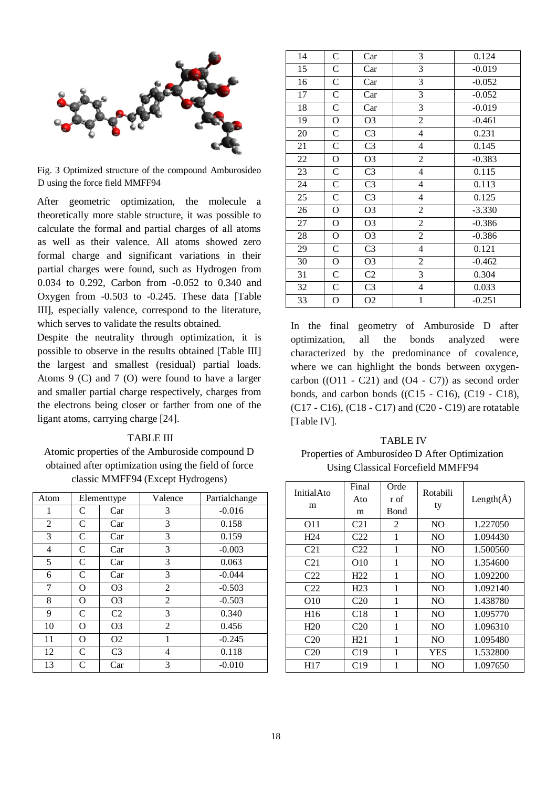

Fig. 3 Optimized structure of the compound Amburosídeo D using the force field MMFF94

After geometric optimization, the molecule a theoretically more stable structure, it was possible to calculate the formal and partial charges of all atoms as well as their valence. All atoms showed zero formal charge and significant variations in their partial charges were found, such as Hydrogen from 0.034 to 0.292, Carbon from -0.052 to 0.340 and Oxygen from -0.503 to -0.245. These data [Table III], especially valence, correspond to the literature, which serves to validate the results obtained.

Despite the neutrality through optimization, it is possible to observe in the results obtained [Table III] the largest and smallest (residual) partial loads. Atoms 9 (C) and 7 (O) were found to have a larger and smaller partial charge respectively, charges from the electrons being closer or farther from one of the ligant atoms, carrying charge [24].

#### TABLE III

Atomic properties of the Amburoside compound D obtained after optimization using the field of force classic MMFF94 (Except Hydrogens)

| Atom |               | Elementtype    | Valence | Partialchange |
|------|---------------|----------------|---------|---------------|
| 1    | C             | Car            | 3       | $-0.016$      |
| 2    | $\mathsf{C}$  | Car            | 3       | 0.158         |
| 3    | C             | Car            | 3       | 0.159         |
| 4    | $\mathsf{C}$  | Car            | 3       | $-0.003$      |
| 5    | C             | Car            | 3       | 0.063         |
| 6    | C             | Car            | 3       | $-0.044$      |
| 7    | O             | O <sub>3</sub> | 2       | $-0.503$      |
| 8    | O             | O <sub>3</sub> | 2       | $-0.503$      |
| 9    | $\mathcal{C}$ | C <sub>2</sub> | 3       | 0.340         |
| 10   | O             | O <sub>3</sub> | 2       | 0.456         |
| 11   | $\Omega$      | O <sub>2</sub> | 1       | $-0.245$      |
| 12   | $\mathcal{C}$ | C <sub>3</sub> | 4       | 0.118         |
| 13   | C             | Car            | 3       | $-0.010$      |

| 14 | C              | Car            | 3                       | 0.124    |
|----|----------------|----------------|-------------------------|----------|
| 15 | $\mathbf C$    | Car            | 3                       | $-0.019$ |
| 16 | $\mathbf C$    | Car            | 3                       | $-0.052$ |
| 17 | $\mathsf{C}$   | Car            | 3                       | $-0.052$ |
| 18 | $\mathsf{C}$   | Car            | 3                       | $-0.019$ |
| 19 | $\mathcal{O}$  | O <sub>3</sub> | $\overline{2}$          | $-0.461$ |
| 20 | $\mathbf C$    | C <sub>3</sub> | $\overline{4}$          | 0.231    |
| 21 | $\mathsf{C}$   | C <sub>3</sub> | $\overline{4}$          | 0.145    |
| 22 | $\overline{O}$ | O <sub>3</sub> | $\overline{2}$          | $-0.383$ |
| 23 | $\mathsf{C}$   | C <sub>3</sub> | $\overline{4}$          | 0.115    |
| 24 | $\mathbf C$    | C <sub>3</sub> | $\overline{4}$          | 0.113    |
| 25 | $\mathsf{C}$   | C <sub>3</sub> | $\overline{4}$          | 0.125    |
| 26 | $\mathcal{O}$  | O <sub>3</sub> | $\overline{2}$          | $-3.330$ |
| 27 | $\mathcal{O}$  | O <sub>3</sub> | $\overline{2}$          | $-0.386$ |
| 28 | $\overline{O}$ | O <sub>3</sub> | $\overline{2}$          | $-0.386$ |
| 29 | $\mathsf{C}$   | C <sub>3</sub> | $\overline{4}$          | 0.121    |
| 30 | $\mathbf{O}$   | O <sub>3</sub> | $\overline{2}$          | $-0.462$ |
| 31 | $\mathsf{C}$   | C2             | 3                       | 0.304    |
| 32 | $\mathsf{C}$   | C <sub>3</sub> | $\overline{\mathbf{4}}$ | 0.033    |
| 33 | $\overline{O}$ | O <sub>2</sub> | $\mathbf{1}$            | $-0.251$ |

In the final geometry of Amburoside D after optimization, all the bonds analyzed were characterized by the predominance of covalence, where we can highlight the bonds between oxygencarbon  $((O11 - C21)$  and  $(O4 - C7))$  as second order bonds, and carbon bonds ((C15 - C16), (C19 - C18), (C17 - C16), (C18 - C17) and (C20 - C19) are rotatable [Table IV].

TABLE IV Properties of Amburosídeo D After Optimization Using Classical Forcefield MMFF94

| <b>InitialAto</b><br>m | Final<br>Ato<br>m | Orde<br>r of<br>Bond | Rotabili<br>ty | Length( $\check{A}$ ) |
|------------------------|-------------------|----------------------|----------------|-----------------------|
| O <sub>11</sub>        | C <sub>21</sub>   | 2                    | NO.            | 1.227050              |
| H <sub>24</sub>        | C <sub>22</sub>   | 1                    | NO             | 1.094430              |
| C <sub>21</sub>        | C <sub>22</sub>   | 1                    | NO             | 1.500560              |
| C <sub>21</sub>        | O10               | 1                    | NO             | 1.354600              |
| C <sub>22</sub>        | H22               | 1                    | NO.            | 1.092200              |
| C <sub>22</sub>        | H <sub>23</sub>   | 1                    | NO.            | 1.092140              |
| O10                    | C <sub>20</sub>   | 1                    | NO             | 1.438780              |
| H <sub>16</sub>        | C <sub>18</sub>   | 1                    | NO             | 1.095770              |
| H <sub>20</sub>        | C <sub>20</sub>   | 1                    | NO             | 1.096310              |
| C <sub>20</sub>        | H21               | 1                    | NO             | 1.095480              |
| C <sub>20</sub>        | C19               | 1                    | YES            | 1.532800              |
| H <sub>17</sub>        | C19               | 1                    | NO             | 1.097650              |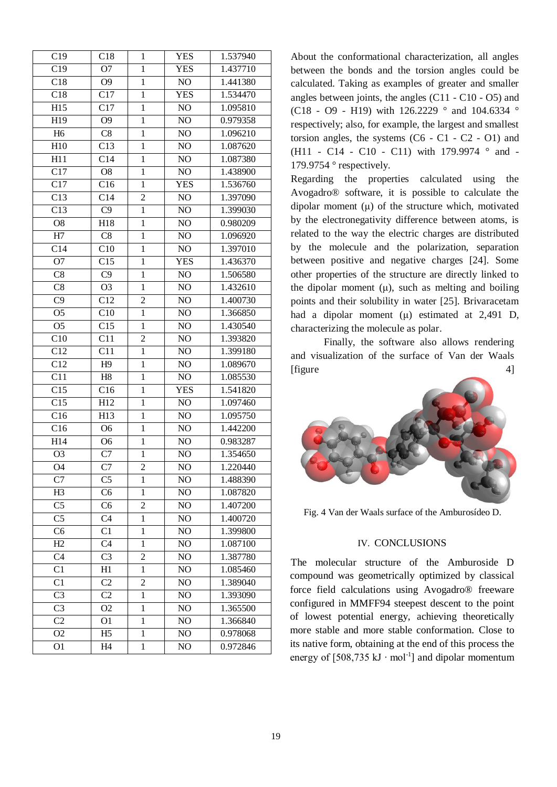| C19              | C18            | $\mathbf{1}$   | <b>YES</b>     | 1.537940 |
|------------------|----------------|----------------|----------------|----------|
| C19              | O <sub>7</sub> | $\mathbf{1}$   | <b>YES</b>     | 1.437710 |
| C18              | O <sub>9</sub> | $\mathbf{1}$   | NO             | 1.441380 |
| C18              | C17            | $\mathbf{1}$   | <b>YES</b>     | 1.534470 |
| H15              | C17            | $\mathbf{1}$   | NO             | 1.095810 |
| H19              | O <sub>9</sub> | $\mathbf{1}$   | NO             | 0.979358 |
| H <sub>6</sub>   | C8             | $\mathbf{1}$   | NO             | 1.096210 |
| H10              | C13            | $\mathbf{1}$   | N <sub>O</sub> | 1.087620 |
| H11              | C14            | $\mathbf{1}$   | N <sub>O</sub> | 1.087380 |
| $\overline{C17}$ | O <sub>8</sub> | $\mathbf{1}$   | $\rm NO$       | 1.438900 |
| C17              | C16            | $\mathbf{1}$   | YES            | 1.536760 |
| C13              | C14            | $\overline{c}$ | NO             | 1.397090 |
| C13              | C9             | $\overline{1}$ | NO             | 1.399030 |
| O <sub>8</sub>   | H18            | $\mathbf{1}$   | NO             | 0.980209 |
| H7               | C8             | $\,1$          | NO             | 1.096920 |
| C14              | C10            | $\mathbf{1}$   | NO             | 1.397010 |
| O7               | C15            | $\mathbf{1}$   | <b>YES</b>     | 1.436370 |
| C8               | C9             | $\mathbf{1}$   | N <sub>O</sub> | 1.506580 |
| C8               | O <sub>3</sub> | $\mathbf{1}$   | NO             | 1.432610 |
| C9               | C12            | $\overline{2}$ | NO             | 1.400730 |
| O <sub>5</sub>   | C10            | $\mathbf{1}$   | NO             | 1.366850 |
| O <sub>5</sub>   | C15            | $\mathbf{1}$   | NO             | 1.430540 |
| C10              | C11            | $\overline{c}$ | NO             | 1.393820 |
| $\overline{C12}$ | C11            | $\mathbf{1}$   | NO             | 1.399180 |
| C12              | H9             | $\mathbf{1}$   | N <sub>O</sub> | 1.089670 |
| C11              | H8             | $\mathbf{1}$   | NO             | 1.085530 |
| C15              | C16            | $\mathbf{1}$   | <b>YES</b>     | 1.541820 |
| $\overline{C15}$ | H12            | $\mathbf{1}$   | NO             | 1.097460 |
| C16              | H13            | $\mathbf{1}$   | NO             | 1.095750 |
| C16              | O <sub>6</sub> | $\mathbf{1}$   | N <sub>O</sub> | 1.442200 |
| H14              | O <sub>6</sub> | $\mathbf{1}$   | NO             | 0.983287 |
| O <sub>3</sub>   | C7             | $\mathbf{1}$   | NO             | 1.354650 |
| O4               | C7             | $\overline{c}$ | NO             | 1.220440 |
| C7               | C <sub>5</sub> | 1              | N <sub>O</sub> | 1.488390 |
| H <sub>3</sub>   | C6             | $\mathbf{1}$   | NO             | 1.087820 |
| C <sub>5</sub>   | C <sub>6</sub> | $\overline{c}$ | NO             | 1.407200 |
| C <sub>5</sub>   | C <sub>4</sub> | $\mathbf{1}$   | NO             | 1.400720 |
| C <sub>6</sub>   | $\overline{C}$ | $\mathbf{1}$   | NO             | 1.399800 |
| H2               | C <sub>4</sub> | $\mathbf{1}$   | NO             | 1.087100 |
| C <sub>4</sub>   | C <sub>3</sub> | 2              | NO             | 1.387780 |
| C <sub>1</sub>   | H1             | $\mathbf{1}$   | NO             | 1.085460 |
| C1               | C <sub>2</sub> | $\overline{2}$ | NO             | 1.389040 |
| C <sub>3</sub>   | C <sub>2</sub> | $\mathbf{1}$   | NO             | 1.393090 |
| C <sub>3</sub>   | O <sub>2</sub> | $\mathbf{1}$   | NO             | 1.365500 |
| C <sub>2</sub>   | O <sub>1</sub> | $\mathbf{1}$   | NO             | 1.366840 |
| O2               | H <sub>5</sub> | $\mathbf{1}$   | NO             | 0.978068 |
| O1               | H4             | $\mathbf{1}$   | NO             | 0.972846 |

About the conformational characterization, all angles between the bonds and the torsion angles could be calculated. Taking as examples of greater and smaller angles between joints, the angles  $(C11 - C10 - O5)$  and (C18 - O9 - H19) with 126.2229 ° and 104.6334 ° respectively; also, for example, the largest and smallest torsion angles, the systems  $(C6 - C1 - C2 - O1)$  and (H11 - C14 - C10 - C11) with 179.9974 ° and -179.9754 ° respectively.

Regarding the properties calculated using the Avogadro® software, it is possible to calculate the dipolar moment ( μ) of the structure which, motivated by the electronegativity difference between atoms, is related to the way the electric charges are distributed by the molecule and the polarization, separation between positive and negative charges [24]. Some other properties of the structure are directly linked to the dipolar moment  $(\mu)$ , such as melting and boiling points and their solubility in water [25]. Brivaracetam had a dipolar moment ( μ) estimated at 2,491 D, characterizing the molecule as polar.

Finally, the software also allows rendering and visualization of the surface of Van der Waals  $[figure 4]$ 



Fig. 4 Van der Waals surface of the Amburosídeo D.

#### IV. CONCLUSIONS

The molecular structure of the Amburoside D compound was geometrically optimized by classical force field calculations using Avogadro® freeware configured in MMFF94 steepest descent to the point of lowest potential energy, achieving theoretically more stable and more stable conformation. Close to its native form, obtaining at the end of this process the energy of  $[508,735 \text{ kJ} \cdot \text{mol}^{-1}]$  and dipolar momentum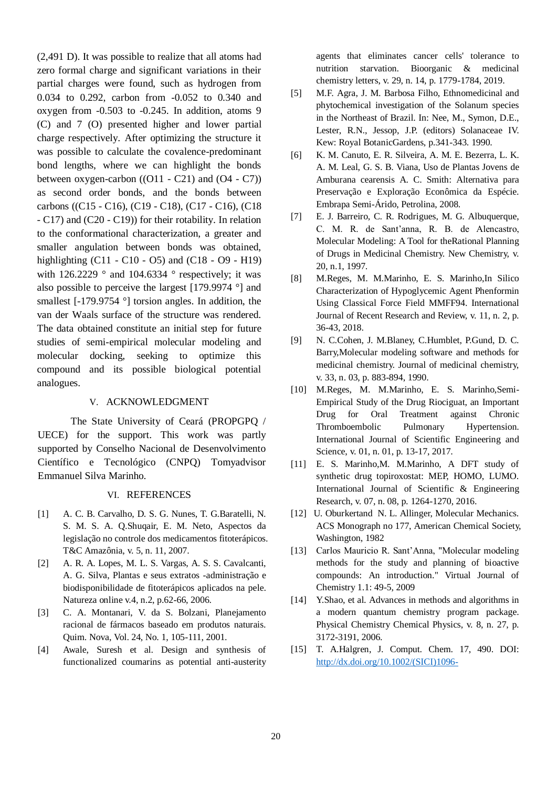(2,491 D). It was possible to realize that all atoms had zero formal charge and significant variations in their partial charges were found, such as hydrogen from 0.034 to 0.292, carbon from -0.052 to 0.340 and oxygen from -0.503 to -0.245. In addition, atoms 9 (C) and 7 (O) presented higher and lower partial charge respectively. After optimizing the structure it was possible to calculate the covalence-predominant bond lengths, where we can highlight the bonds between oxygen-carbon  $((O11 - C21)$  and  $(O4 - C7))$ as second order bonds, and the bonds between carbons ((C15 - C16), (C19 - C18), (C17 - C16), (C18 - C17) and (C20 - C19)) for their rotability. In relation to the conformational characterization, a greater and smaller angulation between bonds was obtained, highlighting (C11 - C10 - O5) and (C18 - O9 - H19) with  $126.2229$  ° and  $104.6334$  ° respectively; it was also possible to perceive the largest [179.9974 °] and smallest [-179.9754 °] torsion angles. In addition, the van der Waals surface of the structure was rendered. The data obtained constitute an initial step for future studies of semi-empirical molecular modeling and molecular docking, seeking to optimize this compound and its possible biological potential analogues.

#### V. ACKNOWLEDGMENT

The State University of Ceará (PROPGPQ / UECE) for the support. This work was partly supported by Conselho Nacional de Desenvolvimento Científico e Tecnológico (CNPQ) Tomyadvisor Emmanuel Silva Marinho.

#### VI. REFERENCES

- [1] A. C. B. Carvalho, D. S. G. Nunes, T. G.Baratelli, N. S. M. S. A. Q.Shuqair, E. M. Neto, Aspectos da legislação no controle dos medicamentos fitoterápicos. T&C Amazônia, v. 5, n. 11, 2007.
- [2] A. R. A. Lopes, M. L. S. Vargas, A. S. S. Cavalcanti, A. G. Silva, Plantas e seus extratos -administração e biodisponibilidade de fitoterápicos aplicados na pele. Natureza online v.4, n.2, p.62-66, 2006.
- [3] C. A. Montanari, V. da S. Bolzani, Planejamento racional de fármacos baseado em produtos naturais. Quim. Nova, Vol. 24, No. 1, 105-111, 2001.
- [4] Awale, Suresh et al. Design and synthesis of functionalized coumarins as potential anti-austerity

agents that eliminates cancer cells' tolerance to nutrition starvation. Bioorganic & medicinal chemistry letters, v. 29, n. 14, p. 1779-1784, 2019.

- [5] M.F. Agra, J. M. Barbosa Filho, Ethnomedicinal and phytochemical investigation of the Solanum species in the Northeast of Brazil. In: Nee, M., Symon, D.E., Lester, R.N., Jessop, J.P. (editors) Solanaceae IV. Kew: Royal BotanicGardens, p.341-343. 1990.
- [6] K. M. Canuto, E. R. Silveira, A. M. E. Bezerra, L. K. A. M. Leal, G. S. B. Viana, Uso de Plantas Jovens de Amburana cearensis A. C. Smith: Alternativa para Preservação e Exploração Econômica da Espécie. Embrapa Semi-Árido, Petrolina, 2008.
- [7] E. J. Barreiro, C. R. Rodrigues, M. G. Albuquerque, C. M. R. de Sant'anna, R. B. de Alencastro, Molecular Modeling: A Tool for theRational Planning of Drugs in Medicinal Chemistry. New Chemistry, v. 20, n.1, 1997.
- [8] M.Reges, M. M.Marinho, E. S. Marinho,In Silico Characterization of Hypoglycemic Agent Phenformin Using Classical Force Field MMFF94. International Journal of Recent Research and Review, v. 11, n. 2, p. 36-43, 2018.
- [9] N. C.Cohen, J. M.Blaney, C.Humblet, P.Gund, D. C. Barry,Molecular modeling software and methods for medicinal chemistry. Journal of medicinal chemistry, v. 33, n. 03, p. 883-894, 1990.
- [10] M.Reges, M. M.Marinho, E. S. Marinho,Semi-Empirical Study of the Drug Riociguat, an Important Drug for Oral Treatment against Chronic Thromboembolic Pulmonary Hypertension. International Journal of Scientific Engineering and Science, v. 01, n. 01, p. 13-17, 2017.
- [11] E. S. Marinho,M. M.Marinho, A DFT study of synthetic drug topiroxostat: MEP, HOMO, LUMO. International Journal of Scientific & Engineering Research, v. 07, n. 08, p. 1264-1270, 2016.
- [12] U. Oburkertand N. L. Allinger, Molecular Mechanics. ACS Monograph no 177, American Chemical Society, Washington, 1982
- [13] Carlos Mauricio R. Sant'Anna, "Molecular modeling methods for the study and planning of bioactive compounds: An introduction." Virtual Journal of Chemistry 1.1: 49-5, 2009
- [14] Y.Shao, et al. Advances in methods and algorithms in a modern quantum chemistry program package. Physical Chemistry Chemical Physics, v. 8, n. 27, p. 3172-3191, 2006.
- [15] T. A.Halgren, J. Comput. Chem. 17, 490. DOI: [http://dx.doi.org/10.1002/\(SICI\)1096-](http://dx.doi.org/10.1002/(SICI)1096-987X(199604)17:6%3c490::AID-JCC1%3e3.3.CO;2-V)